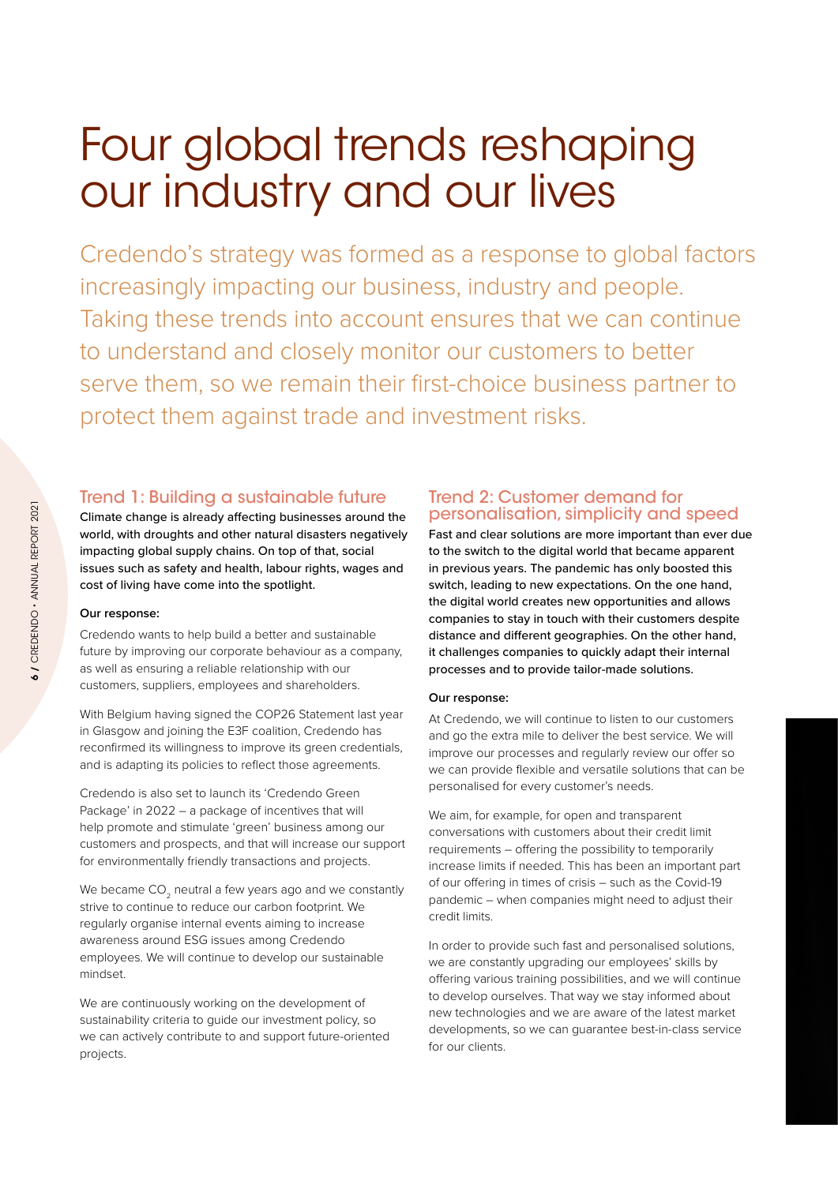# Four global trends reshaping our industry and our lives

Credendo's strategy was formed as a response to global factors increasingly impacting our business, industry and people. Taking these trends into account ensures that we can continue to understand and closely monitor our customers to better serve them, so we remain their first-choice business partner to protect them against trade and investment risks.

## Trend 1: Building a sustainable future

Climate change is already affecting businesses around the world, with droughts and other natural disasters negatively impacting global supply chains. On top of that, social issues such as safety and health, labour rights, wages and cost of living have come into the spotlight.

## **Our response:**

Credendo wants to help build a better and sustainable future by improving our corporate behaviour as a company, as well as ensuring a reliable relationship with our customers, suppliers, employees and shareholders.

With Belgium having signed the COP26 Statement last year in Glasgow and joining the E3F coalition, Credendo has reconfirmed its willingness to improve its green credentials, and is adapting its policies to reflect those agreements.

Credendo is also set to launch its 'Credendo Green Package' in 2022 – a package of incentives that will help promote and stimulate 'green' business among our customers and prospects, and that will increase our support for environmentally friendly transactions and projects.

We became CO<sub>2</sub> neutral a few years ago and we constantly strive to continue to reduce our carbon footprint. We regularly organise internal events aiming to increase awareness around ESG issues among Credendo employees. We will continue to develop our sustainable mindset.

We are continuously working on the development of sustainability criteria to guide our investment policy, so we can actively contribute to and support future-oriented projects.

## Trend 2: Customer demand for personalisation, simplicity and speed

Fast and clear solutions are more important than ever due to the switch to the digital world that became apparent in previous years. The pandemic has only boosted this switch, leading to new expectations. On the one hand, the digital world creates new opportunities and allows companies to stay in touch with their customers despite distance and different geographies. On the other hand, it challenges companies to quickly adapt their internal processes and to provide tailor-made solutions.

### **Our response:**

At Credendo, we will continue to listen to our customers and go the extra mile to deliver the best service. We will improve our processes and regularly review our offer so we can provide flexible and versatile solutions that can be personalised for every customer's needs.

We aim, for example, for open and transparent conversations with customers about their credit limit requirements – offering the possibility to temporarily increase limits if needed. This has been an important part of our offering in times of crisis – such as the Covid-19 pandemic – when companies might need to adjust their credit limits.

In order to provide such fast and personalised solutions, we are constantly upgrading our employees' skills by offering various training possibilities, and we will continue to develop ourselves. That way we stay informed about new technologies and we are aware of the latest market developments, so we can guarantee best-in-class service for our clients.